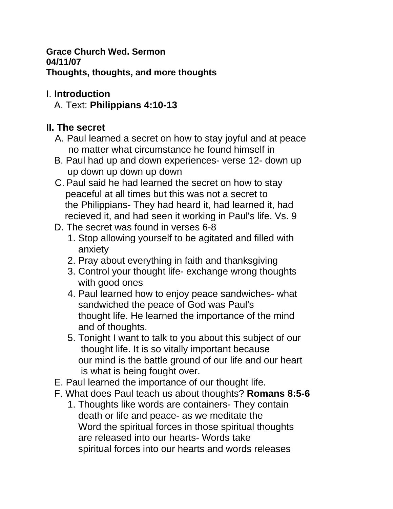**Grace Church Wed. Sermon 04/11/07 Thoughts, thoughts, and more thoughts**

## I. **Introduction**

A. Text: **Philippians 4:10-13**

## **II. The secret**

- A. Paul learned a secret on how to stay joyful and at peace no matter what circumstance he found himself in
- B. Paul had up and down experiences- verse 12- down up up down up down up down
- C. Paul said he had learned the secret on how to stay peaceful at all times but this was not a secret to the Philippians- They had heard it, had learned it, had recieved it, and had seen it working in Paul's life. Vs. 9
- D. The secret was found in verses 6-8
	- 1. Stop allowing yourself to be agitated and filled with anxiety
	- 2. Pray about everything in faith and thanksgiving
	- 3. Control your thought life- exchange wrong thoughts with good ones
	- 4. Paul learned how to enjoy peace sandwiches- what sandwiched the peace of God was Paul's thought life. He learned the importance of the mind and of thoughts.
	- 5. Tonight I want to talk to you about this subject of our thought life. It is so vitally important because our mind is the battle ground of our life and our heart is what is being fought over.
- E. Paul learned the importance of our thought life.
- F. What does Paul teach us about thoughts? **Romans 8:5-6**
	- 1. Thoughts like words are containers- They contain death or life and peace- as we meditate the Word the spiritual forces in those spiritual thoughts are released into our hearts- Words take spiritual forces into our hearts and words releases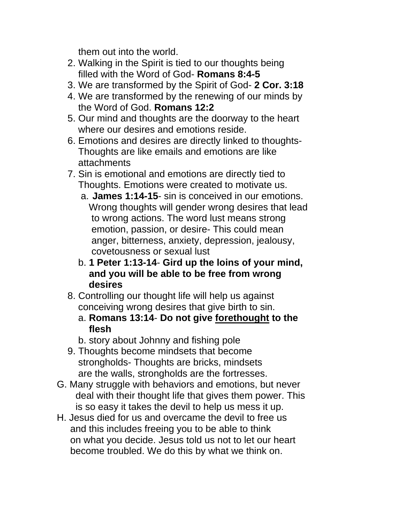them out into the world.

- 2. Walking in the Spirit is tied to our thoughts being filled with the Word of God- **Romans 8:4-5**
- 3. We are transformed by the Spirit of God- **2 Cor. 3:18**
- 4. We are transformed by the renewing of our minds by the Word of God. **Romans 12:2**
- 5. Our mind and thoughts are the doorway to the heart where our desires and emotions reside.
- 6. Emotions and desires are directly linked to thoughts- Thoughts are like emails and emotions are like attachments
- 7. Sin is emotional and emotions are directly tied to Thoughts. Emotions were created to motivate us.
	- a. **James 1:14-15** sin is conceived in our emotions. Wrong thoughts will gender wrong desires that lead to wrong actions. The word lust means strong emotion, passion, or desire- This could mean anger, bitterness, anxiety, depression, jealousy, covetousness or sexual lust
	- b. **1 Peter 1:13-14 Gird up the loins of your mind, and you will be able to be free from wrong desires**
- 8. Controlling our thought life will help us against conceiving wrong desires that give birth to sin.
	- a. **Romans 13:14 Do not give forethought to the flesh**
	- b. story about Johnny and fishing pole
- 9. Thoughts become mindsets that become strongholds- Thoughts are bricks, mindsets are the walls, strongholds are the fortresses.
- G. Many struggle with behaviors and emotions, but never deal with their thought life that gives them power. This is so easy it takes the devil to help us mess it up.
- H. Jesus died for us and overcame the devil to free us and this includes freeing you to be able to think on what you decide. Jesus told us not to let our heart become troubled. We do this by what we think on.